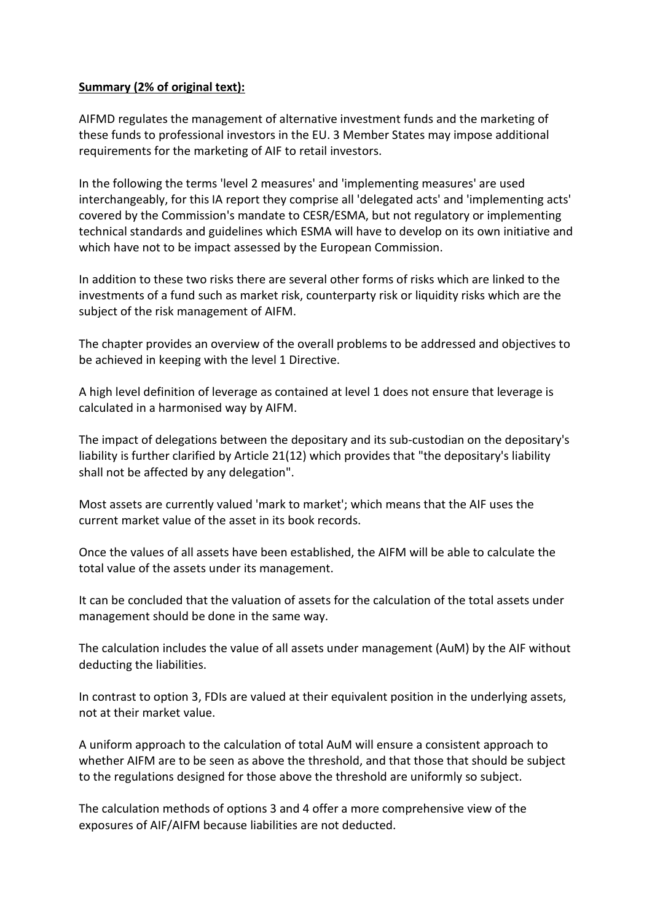## **Summary (2% of original text):**

AIFMD regulates the management of alternative investment funds and the marketing of these funds to professional investors in the EU. 3 Member States may impose additional requirements for the marketing of AIF to retail investors.

In the following the terms 'level 2 measures' and 'implementing measures' are used interchangeably, for this IA report they comprise all 'delegated acts' and 'implementing acts' covered by the Commission's mandate to CESR/ESMA, but not regulatory or implementing technical standards and guidelines which ESMA will have to develop on its own initiative and which have not to be impact assessed by the European Commission.

In addition to these two risks there are several other forms of risks which are linked to the investments of a fund such as market risk, counterparty risk or liquidity risks which are the subject of the risk management of AIFM.

The chapter provides an overview of the overall problems to be addressed and objectives to be achieved in keeping with the level 1 Directive.

A high level definition of leverage as contained at level 1 does not ensure that leverage is calculated in a harmonised way by AIFM.

The impact of delegations between the depositary and its sub-custodian on the depositary's liability is further clarified by Article 21(12) which provides that "the depositary's liability shall not be affected by any delegation".

Most assets are currently valued 'mark to market'; which means that the AIF uses the current market value of the asset in its book records.

Once the values of all assets have been established, the AIFM will be able to calculate the total value of the assets under its management.

It can be concluded that the valuation of assets for the calculation of the total assets under management should be done in the same way.

The calculation includes the value of all assets under management (AuM) by the AIF without deducting the liabilities.

In contrast to option 3, FDIs are valued at their equivalent position in the underlying assets, not at their market value.

A uniform approach to the calculation of total AuM will ensure a consistent approach to whether AIFM are to be seen as above the threshold, and that those that should be subject to the regulations designed for those above the threshold are uniformly so subject.

The calculation methods of options 3 and 4 offer a more comprehensive view of the exposures of AIF/AIFM because liabilities are not deducted.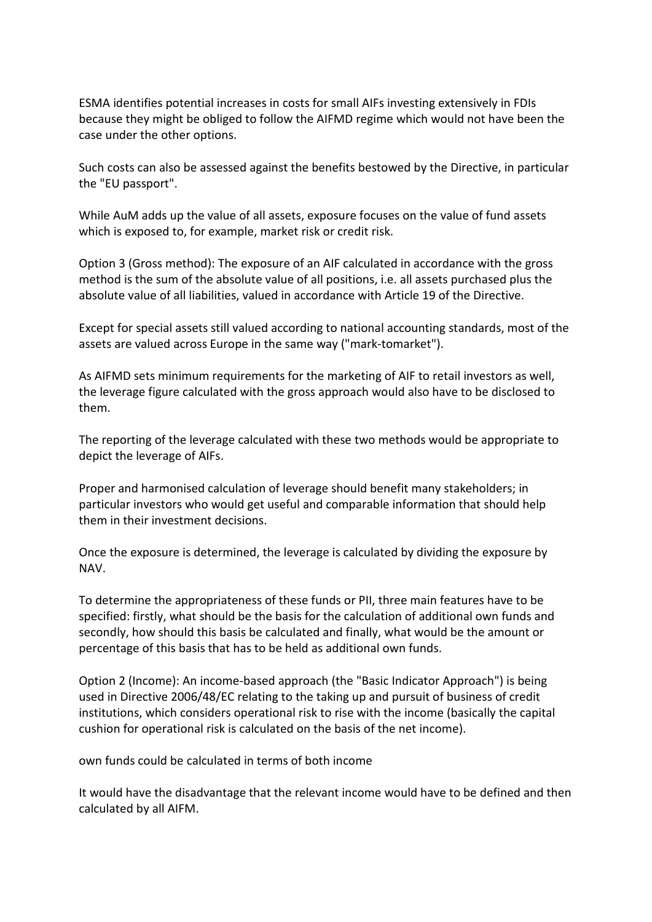ESMA identifies potential increases in costs for small AIFs investing extensively in FDIs because they might be obliged to follow the AIFMD regime which would not have been the case under the other options.

Such costs can also be assessed against the benefits bestowed by the Directive, in particular the "EU passport".

While AuM adds up the value of all assets, exposure focuses on the value of fund assets which is exposed to, for example, market risk or credit risk.

Option 3 (Gross method): The exposure of an AIF calculated in accordance with the gross method is the sum of the absolute value of all positions, i.e. all assets purchased plus the absolute value of all liabilities, valued in accordance with Article 19 of the Directive.

Except for special assets still valued according to national accounting standards, most of the assets are valued across Europe in the same way ("mark-tomarket").

As AIFMD sets minimum requirements for the marketing of AIF to retail investors as well, the leverage figure calculated with the gross approach would also have to be disclosed to them.

The reporting of the leverage calculated with these two methods would be appropriate to depict the leverage of AIFs.

Proper and harmonised calculation of leverage should benefit many stakeholders; in particular investors who would get useful and comparable information that should help them in their investment decisions.

Once the exposure is determined, the leverage is calculated by dividing the exposure by NAV.

To determine the appropriateness of these funds or PII, three main features have to be specified: firstly, what should be the basis for the calculation of additional own funds and secondly, how should this basis be calculated and finally, what would be the amount or percentage of this basis that has to be held as additional own funds.

Option 2 (Income): An income-based approach (the "Basic Indicator Approach") is being used in Directive 2006/48/EC relating to the taking up and pursuit of business of credit institutions, which considers operational risk to rise with the income (basically the capital cushion for operational risk is calculated on the basis of the net income).

own funds could be calculated in terms of both income

It would have the disadvantage that the relevant income would have to be defined and then calculated by all AIFM.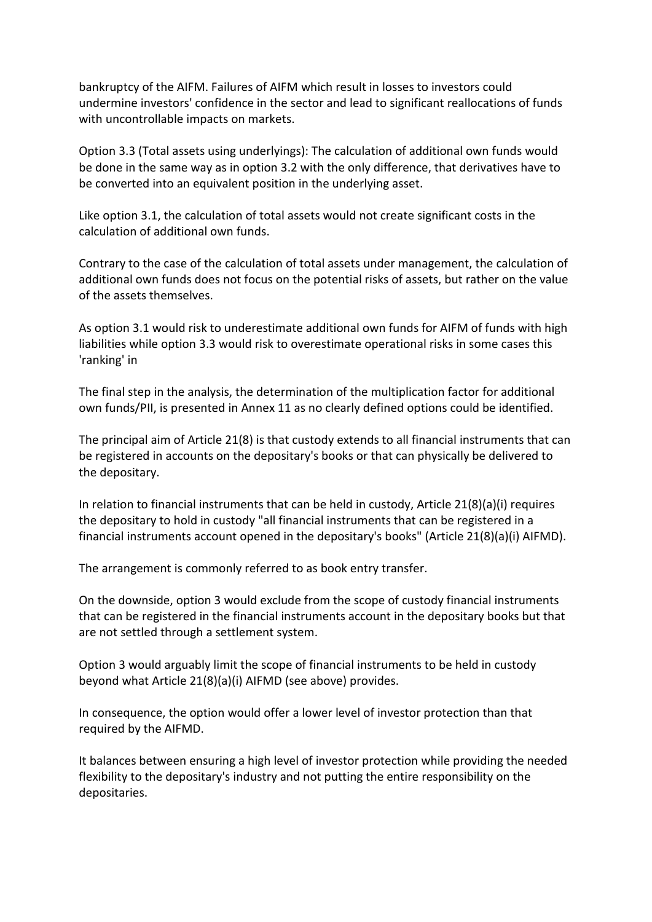bankruptcy of the AIFM. Failures of AIFM which result in losses to investors could undermine investors' confidence in the sector and lead to significant reallocations of funds with uncontrollable impacts on markets.

Option 3.3 (Total assets using underlyings): The calculation of additional own funds would be done in the same way as in option 3.2 with the only difference, that derivatives have to be converted into an equivalent position in the underlying asset.

Like option 3.1, the calculation of total assets would not create significant costs in the calculation of additional own funds.

Contrary to the case of the calculation of total assets under management, the calculation of additional own funds does not focus on the potential risks of assets, but rather on the value of the assets themselves.

As option 3.1 would risk to underestimate additional own funds for AIFM of funds with high liabilities while option 3.3 would risk to overestimate operational risks in some cases this 'ranking' in

The final step in the analysis, the determination of the multiplication factor for additional own funds/PII, is presented in Annex 11 as no clearly defined options could be identified.

The principal aim of Article 21(8) is that custody extends to all financial instruments that can be registered in accounts on the depositary's books or that can physically be delivered to the depositary.

In relation to financial instruments that can be held in custody, Article 21(8)(a)(i) requires the depositary to hold in custody "all financial instruments that can be registered in a financial instruments account opened in the depositary's books" (Article 21(8)(a)(i) AIFMD).

The arrangement is commonly referred to as book entry transfer.

On the downside, option 3 would exclude from the scope of custody financial instruments that can be registered in the financial instruments account in the depositary books but that are not settled through a settlement system.

Option 3 would arguably limit the scope of financial instruments to be held in custody beyond what Article 21(8)(a)(i) AIFMD (see above) provides.

In consequence, the option would offer a lower level of investor protection than that required by the AIFMD.

It balances between ensuring a high level of investor protection while providing the needed flexibility to the depositary's industry and not putting the entire responsibility on the depositaries.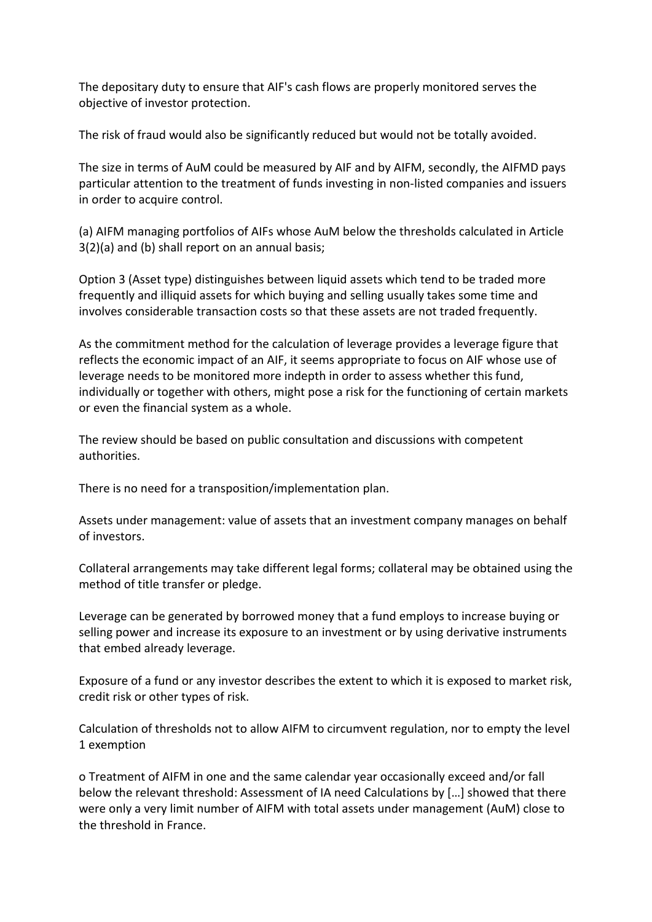The depositary duty to ensure that AIF's cash flows are properly monitored serves the objective of investor protection.

The risk of fraud would also be significantly reduced but would not be totally avoided.

The size in terms of AuM could be measured by AIF and by AIFM, secondly, the AIFMD pays particular attention to the treatment of funds investing in non-listed companies and issuers in order to acquire control.

(a) AIFM managing portfolios of AIFs whose AuM below the thresholds calculated in Article 3(2)(a) and (b) shall report on an annual basis;

Option 3 (Asset type) distinguishes between liquid assets which tend to be traded more frequently and illiquid assets for which buying and selling usually takes some time and involves considerable transaction costs so that these assets are not traded frequently.

As the commitment method for the calculation of leverage provides a leverage figure that reflects the economic impact of an AIF, it seems appropriate to focus on AIF whose use of leverage needs to be monitored more indepth in order to assess whether this fund, individually or together with others, might pose a risk for the functioning of certain markets or even the financial system as a whole.

The review should be based on public consultation and discussions with competent authorities.

There is no need for a transposition/implementation plan.

Assets under management: value of assets that an investment company manages on behalf of investors.

Collateral arrangements may take different legal forms; collateral may be obtained using the method of title transfer or pledge.

Leverage can be generated by borrowed money that a fund employs to increase buying or selling power and increase its exposure to an investment or by using derivative instruments that embed already leverage.

Exposure of a fund or any investor describes the extent to which it is exposed to market risk, credit risk or other types of risk.

Calculation of thresholds not to allow AIFM to circumvent regulation, nor to empty the level 1 exemption

o Treatment of AIFM in one and the same calendar year occasionally exceed and/or fall below the relevant threshold: Assessment of IA need Calculations by […] showed that there were only a very limit number of AIFM with total assets under management (AuM) close to the threshold in France.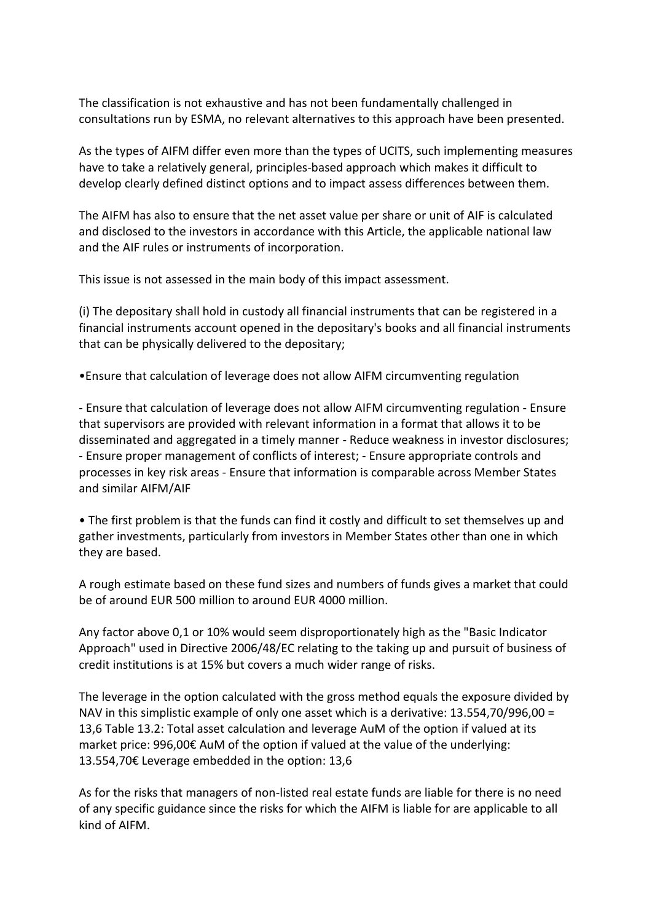The classification is not exhaustive and has not been fundamentally challenged in consultations run by ESMA, no relevant alternatives to this approach have been presented.

As the types of AIFM differ even more than the types of UCITS, such implementing measures have to take a relatively general, principles-based approach which makes it difficult to develop clearly defined distinct options and to impact assess differences between them.

The AIFM has also to ensure that the net asset value per share or unit of AIF is calculated and disclosed to the investors in accordance with this Article, the applicable national law and the AIF rules or instruments of incorporation.

This issue is not assessed in the main body of this impact assessment.

(i) The depositary shall hold in custody all financial instruments that can be registered in a financial instruments account opened in the depositary's books and all financial instruments that can be physically delivered to the depositary;

•Ensure that calculation of leverage does not allow AIFM circumventing regulation

- Ensure that calculation of leverage does not allow AIFM circumventing regulation - Ensure that supervisors are provided with relevant information in a format that allows it to be disseminated and aggregated in a timely manner - Reduce weakness in investor disclosures; - Ensure proper management of conflicts of interest; - Ensure appropriate controls and processes in key risk areas - Ensure that information is comparable across Member States and similar AIFM/AIF

• The first problem is that the funds can find it costly and difficult to set themselves up and gather investments, particularly from investors in Member States other than one in which they are based.

A rough estimate based on these fund sizes and numbers of funds gives a market that could be of around EUR 500 million to around EUR 4000 million.

Any factor above 0,1 or 10% would seem disproportionately high as the "Basic Indicator Approach" used in Directive 2006/48/EC relating to the taking up and pursuit of business of credit institutions is at 15% but covers a much wider range of risks.

The leverage in the option calculated with the gross method equals the exposure divided by NAV in this simplistic example of only one asset which is a derivative: 13.554,70/996,00 = 13,6 Table 13.2: Total asset calculation and leverage AuM of the option if valued at its market price: 996,00€ AuM of the option if valued at the value of the underlying: 13.554,70€ Leverage embedded in the option: 13,6

As for the risks that managers of non-listed real estate funds are liable for there is no need of any specific guidance since the risks for which the AIFM is liable for are applicable to all kind of AIFM.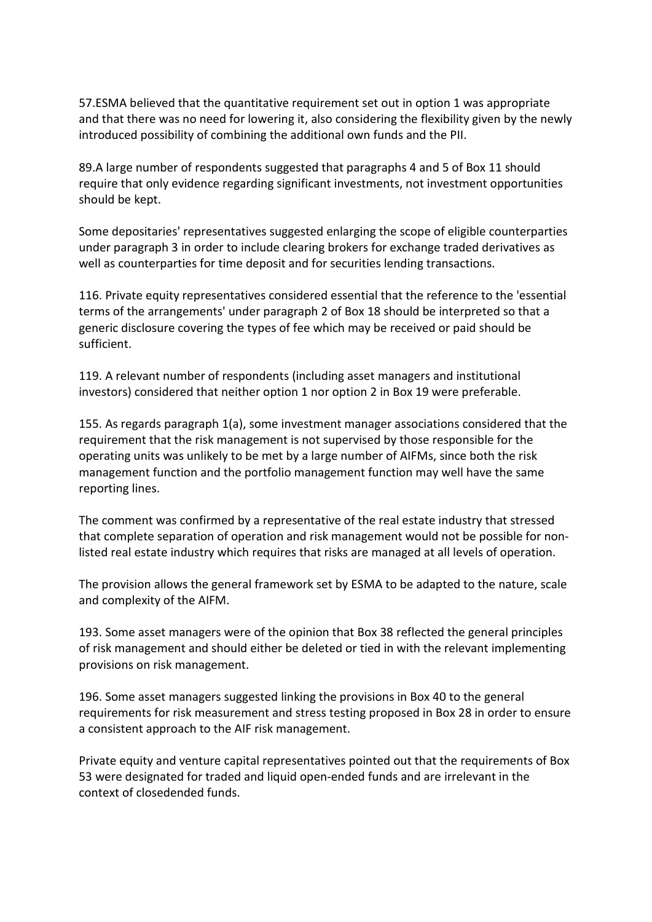57.ESMA believed that the quantitative requirement set out in option 1 was appropriate and that there was no need for lowering it, also considering the flexibility given by the newly introduced possibility of combining the additional own funds and the PII.

89.A large number of respondents suggested that paragraphs 4 and 5 of Box 11 should require that only evidence regarding significant investments, not investment opportunities should be kept.

Some depositaries' representatives suggested enlarging the scope of eligible counterparties under paragraph 3 in order to include clearing brokers for exchange traded derivatives as well as counterparties for time deposit and for securities lending transactions.

116. Private equity representatives considered essential that the reference to the 'essential terms of the arrangements' under paragraph 2 of Box 18 should be interpreted so that a generic disclosure covering the types of fee which may be received or paid should be sufficient.

119. A relevant number of respondents (including asset managers and institutional investors) considered that neither option 1 nor option 2 in Box 19 were preferable.

155. As regards paragraph 1(a), some investment manager associations considered that the requirement that the risk management is not supervised by those responsible for the operating units was unlikely to be met by a large number of AIFMs, since both the risk management function and the portfolio management function may well have the same reporting lines.

The comment was confirmed by a representative of the real estate industry that stressed that complete separation of operation and risk management would not be possible for nonlisted real estate industry which requires that risks are managed at all levels of operation.

The provision allows the general framework set by ESMA to be adapted to the nature, scale and complexity of the AIFM.

193. Some asset managers were of the opinion that Box 38 reflected the general principles of risk management and should either be deleted or tied in with the relevant implementing provisions on risk management.

196. Some asset managers suggested linking the provisions in Box 40 to the general requirements for risk measurement and stress testing proposed in Box 28 in order to ensure a consistent approach to the AIF risk management.

Private equity and venture capital representatives pointed out that the requirements of Box 53 were designated for traded and liquid open-ended funds and are irrelevant in the context of closedended funds.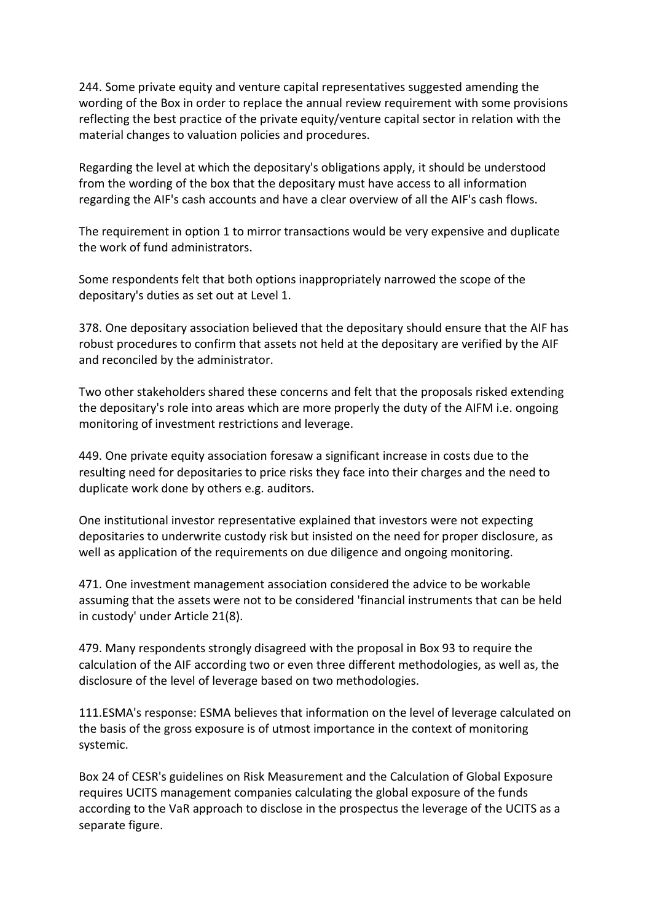244. Some private equity and venture capital representatives suggested amending the wording of the Box in order to replace the annual review requirement with some provisions reflecting the best practice of the private equity/venture capital sector in relation with the material changes to valuation policies and procedures.

Regarding the level at which the depositary's obligations apply, it should be understood from the wording of the box that the depositary must have access to all information regarding the AIF's cash accounts and have a clear overview of all the AIF's cash flows.

The requirement in option 1 to mirror transactions would be very expensive and duplicate the work of fund administrators.

Some respondents felt that both options inappropriately narrowed the scope of the depositary's duties as set out at Level 1.

378. One depositary association believed that the depositary should ensure that the AIF has robust procedures to confirm that assets not held at the depositary are verified by the AIF and reconciled by the administrator.

Two other stakeholders shared these concerns and felt that the proposals risked extending the depositary's role into areas which are more properly the duty of the AIFM i.e. ongoing monitoring of investment restrictions and leverage.

449. One private equity association foresaw a significant increase in costs due to the resulting need for depositaries to price risks they face into their charges and the need to duplicate work done by others e.g. auditors.

One institutional investor representative explained that investors were not expecting depositaries to underwrite custody risk but insisted on the need for proper disclosure, as well as application of the requirements on due diligence and ongoing monitoring.

471. One investment management association considered the advice to be workable assuming that the assets were not to be considered 'financial instruments that can be held in custody' under Article 21(8).

479. Many respondents strongly disagreed with the proposal in Box 93 to require the calculation of the AIF according two or even three different methodologies, as well as, the disclosure of the level of leverage based on two methodologies.

111.ESMA's response: ESMA believes that information on the level of leverage calculated on the basis of the gross exposure is of utmost importance in the context of monitoring systemic.

Box 24 of CESR's guidelines on Risk Measurement and the Calculation of Global Exposure requires UCITS management companies calculating the global exposure of the funds according to the VaR approach to disclose in the prospectus the leverage of the UCITS as a separate figure.